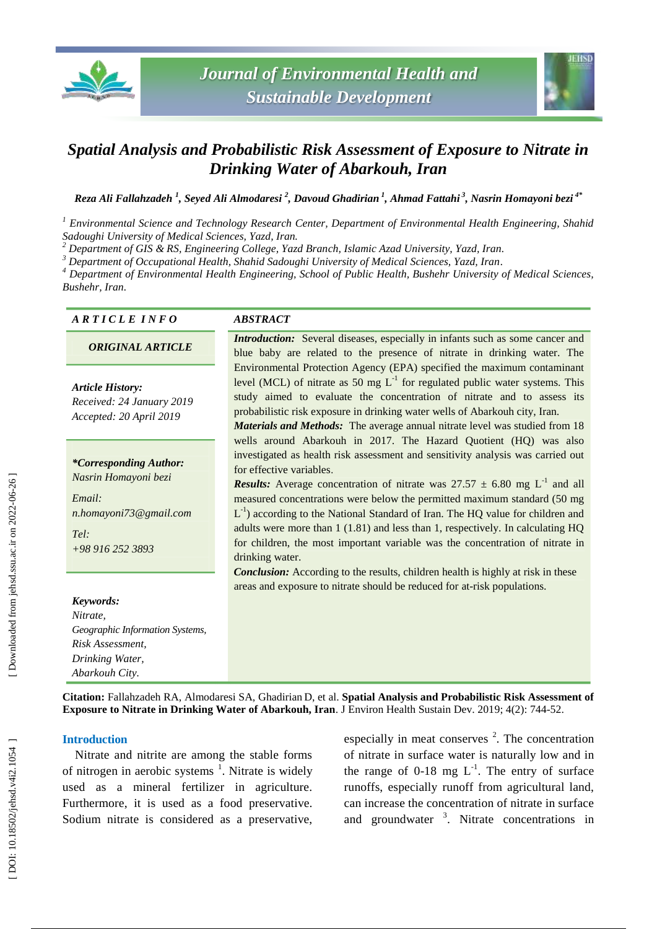



# *Spatial Analysis and Probabilistic Risk Assessment of Exposure to Nitrate in Drinking Water of Abarkouh, Iran*

*Reza Ali Fallahzadeh 1 , Seyed Ali Almodaresi 2 , Davo ud Ghadirian 1 , Ahmad Fattahi 3 , Nasrin Homayoni bezi 4\**

*<sup>1</sup> Environmental Science and Technology Research Center, Department of Environmental Health Engineering, Shahid Sadoughi University of Medical Sciences, Yazd, Iran. <sup>2</sup> Department of GIS & RS, Engineering College, Yazd Branch, Islamic Azad University, Yazd, Iran .*

*<sup>3</sup> Department of Occupational Health, Shahid Sadoughi University of Medical Sciences, Yazd, Iran .*

*<sup>4</sup> Department of Environmental Health Engineering, School of Public Health, Bushehr University of Medical Sciences, Bushehr, Iran .*

#### *A R T I C L E I N F O ABSTRACT*

### *ORIGINAL ARTICLE*

*Article History: Received: 2 4 January 201 9 Accepted: 20 April 201 9*

*\*Corresponding Author: Nasrin Homayoni bezi*

*Email: n.homayoni73@gmail.com Tel: +98 916 252 3893*

#### *Keywords:*

*Nitrate, Geographic Information Systems, Risk Assessment, Drinking Water, Abarkouh City .*

*Introduction:* Several diseases, especially in infants such as some cancer and blue baby are related to the presence of nitrate in drinking water. The Environmental Protection Agency (EPA) specified the maximum contaminant level (MCL) of nitrate as 50 mg  $L^{-1}$  for regulated public water systems. This study aimed to evaluate the concentration of nitrate and to assess its probabilistic risk exposure in drinking water wells of Abarkouh city, Iran.

*Materials and Methods:* The average annual nitrate level was studied from 18 wells around Abarkouh in 2017. The Hazard Quotient (HQ) was also investigated as health risk assessment and sensitivity analysis was carried out for effective variables .

**Results:** Average concentration of nitrate was  $27.57 \pm 6.80$  mg L<sup>-1</sup> and all measured concentrations were below the permitted maximum standard (50 mg  $L^{-1}$ ) according to the National Standard of Iran. The HQ value for children and adults were more than 1 (1.81) and less than 1, respectively. In calculating HQ for children, the most important variable was the concentration of nitrate in drinking water.

*Conclusion:* According to the results, children health is highly at risk in these areas and exposure to nitrate should be reduced for at -risk populations.

**Citation:** Fallahzadeh RA, Almodaresi SA, Ghadirian D, et al. **Spatial Analysis and Probabilistic Risk Assessment of Exposure to Nitrate in Drinking Water of Abarkouh, Iran**. J Environ Health Sustain Dev. 2019; 4(2): 744-52.

#### **Introduction**

Nitrate and nitrite are among the stable forms of nitrogen in aerobic systems<sup>1</sup>. Nitrate is widely used as a mineral fertilizer in agriculture. Furthermore, it is used as a food preservative. Sodium nitrate is considered as a preservative,

especially in meat conserves<sup>2</sup>. The concentration of nitrate in surface water is naturally low and in the range of  $0-18$  mg  $L^{-1}$ . The entry of surface runoffs, especially runoff from agricultural land, can increase the concentration of nitrate in surface and groundwater<sup>3</sup>. Nitrate concentrations in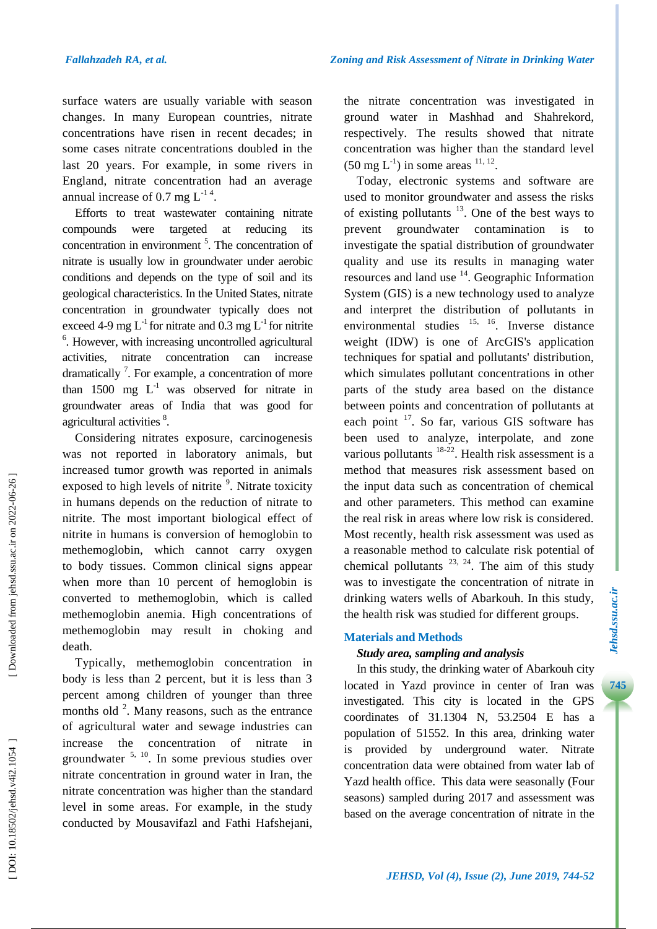surface waters are usually variable with season changes. In many European countries, nitrate concentrations have risen in recent decades; in some cases nitrate concentrations doubled in the last 20 years. For example, in some rivers in England, nitrate concentration had an average annual increase of 0.7 mg  $L^{-1.4}$ .

Efforts to treat wastewater containing nitrate compounds were targeted at reducing its concentration in environment 5 . The concentration of nitrate is usually low in groundwater under aerobic conditions and depends on the type of soil and its geological characteristics. In the United States, nitrate concentration in groundwater typically does not exceed 4-9 mg  $L^{-1}$  for nitrate and 0.3 mg  $L^{-1}$  for nitrite <sup>6</sup>. However, with increasing uncontrolled agricultural activities, nitrate concentration can increase dramatically<sup>7</sup>. For example, a concentration of more than  $1500$  mg  $L^{-1}$  was observed for nitrate in groundwater areas of India that was good for agricultural activities <sup>8</sup>.

Considering nitrates exposure, carcinogenesis was not reported in laboratory animals, but increased tumor growth was reported in animals exposed to high levels of nitrite<sup>9</sup>. Nitrate toxicity in humans depends on the reduction of nitrate to nitrite. The most important biological effect of nitrite in humans is conversion of hemoglobin to methemoglobin, which cannot carry oxygen to body tissues. Common clinical signs appear when more than 10 percent of hemoglobin is converted to methemoglobin, which is called methemoglobin anemia. High concentrations of methemoglobin may result in choking and death.

Typically, methemoglobin concentration in body is less than 2 percent, but it is less than 3 percent among children of younger than three months old  $2$ . Many reasons, such as the entrance of agricultural water and sewage industries can increase the concentration of nitrate in groundwater  $5, 10$ . In some previous studies over nitrate concentration in ground water in Iran, the nitrate concentration was higher than the standard level in some areas. For example, in the study conducted by Mousavifazl and Fathi Hafshejani,

the nitrate concentration was investigated in ground water in Mashhad and Shahrekord, respectively. The results showed that nitrate concentration was higher than the standard level  $(50 \text{ mg L}^{-1})$  in some areas  $^{11, 12}$ .

Today, electronic systems and software are used to monitor groundwater and assess the risks of existing pollutants  $13$ . One of the best ways to prevent groundwater contamination is to investigate the spatial distribution of groundwater quality and use its results in managing water resources and land use <sup>14</sup>. Geographic Information System (GIS) is a new technology used to analyze and interpret the distribution of pollutants in environmental studies  $^{15, 16}$ . Inverse distance weight (IDW) is one of ArcGIS's application techniques for spatial and pollutants' distribution, which simulates pollutant concentrations in other parts of the study area based on the distance between points and concentration of pollutants at each point <sup>17</sup>. So far, various GIS software has been used to analyze, interpolate, and zone various pollutants  $18-22$ . Health risk assessment is a method that measures risk assessment based on the input data such as concentration of chemical and other parameters. This method can examine the real risk in areas where low risk is considered. Most recently, health risk assessment was used as a reasonable method to calculate risk potential of chemical pollutants  $23, 24$ . The aim of this study was to investigate the concentration of nitrate in drinking waters wells of Abarkouh. In this study, the health risk was studied for different groups.

# **Materials and Methods**

# *Study area, sampling and analysis*

In this study, the drinking water of Abarkouh city located in Yazd province in center of Iran was investigated. This city is located in the GPS coordinates of 31.1304 N, 53.2504 E has a population of 51552. In this area, drinking water is provided by underground water. Nitrate concentration data were obtained from water lab of Yazd health office. This data were seasonally (Four seasons) sampled during 201 7 and assessment was based on the average concentration of nitrate in the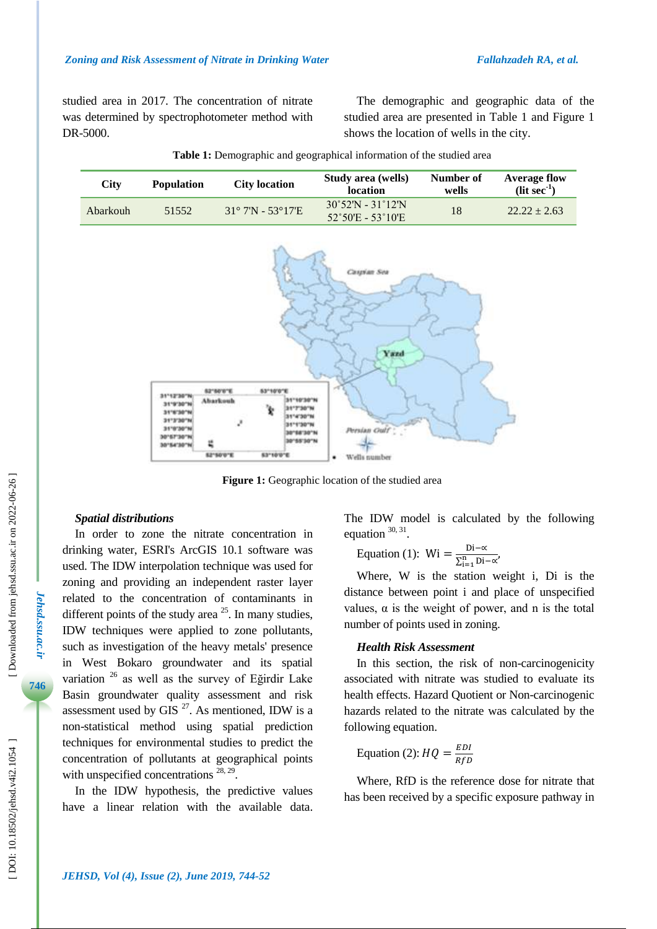studied area in 2017. The concentration of nitrate was determined by spectrophotometer method with DR -5000.

The demographic and geographic data of the studied area are presented in Table 1 and Figure 1 shows the location of wells in the city.

| City     | <b>Population</b> | <b>City location</b>                  | Study area (wells)<br>location                                              | Number of<br>wells | <b>Average flow</b><br>$(lit sec-1)$ |
|----------|-------------------|---------------------------------------|-----------------------------------------------------------------------------|--------------------|--------------------------------------|
| Abarkouh | 51552             | $31^{\circ}$ 7'N - 53 $^{\circ}$ 17'E | $30^{\circ}52'$ N - 31 $^{\circ}12'$ N<br>$52^{\circ}50'E - 53^{\circ}10'E$ | 18                 | $22.22 + 2.63$                       |

**Table 1 :** Demographic and geographical information of the studied area





**Figure 1 :** Geographic location of the studied area

#### *Spatial distributions*

In order to zone the nitrate concentration in drinking water, ESRI's ArcGIS 10.1 software was used. The IDW interpolation technique was used for zoning and providing an independent raster layer related to the concentration of contaminants in different points of the study area  $25$ . In many studies, IDW techniques were applied to zone pollutants, such as investigation of the heavy metals' presence in West Bokaro groundwater and its spatial variation <sup>26</sup> as well as the survey of Eğirdir Lake Basin groundwater quality assessment and risk assessment used by GIS $^{27}$ . As mentioned, IDW is a non -statistical method using spatial prediction techniques for environmental studies to predict the concentration of pollutants at geographical points with unspecified concentrations  $28, 29$ .

In the IDW hypothesis, the predictive values have a linear relation with the available data. The IDW model is calculated by the following equation  $30, 31$ .

Equation (1): Wi = 
$$
\frac{\text{Di}-\alpha}{\sum_{i=1}^{n} \text{Di}-\alpha'}
$$

Where, W is the station weight i, Di is the distance between point i and place of unspecified values, α is the weight of power, and n is the total number of points used in zoning.

#### *Health Risk Assessment*

In this section, the risk of non -carcinogenicity associated with nitrate was studied to evaluate its health effects. Hazard Quotient or Non -carcinogenic hazards related to the nitrate was calculated by the following equation.

Equation (2): 
$$
HQ = \frac{EDI}{RfD}
$$

Where, RfD is the reference dose for nitrate that has been received by a specific exposure pathway in

*Jehsd.ssu.ac.ir*

Jehsd.ssu.ac.ir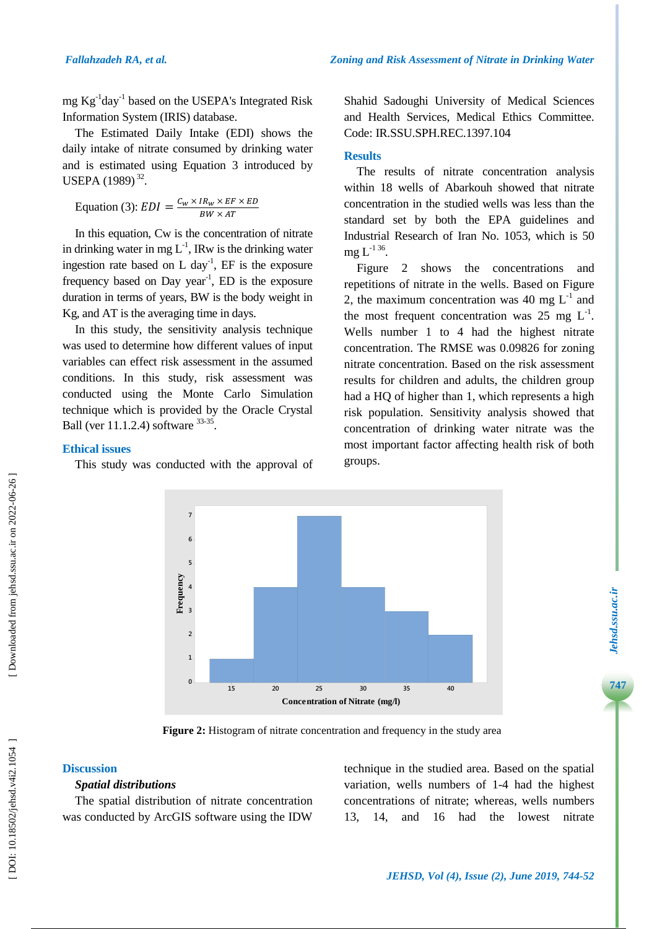mg Kg<sup>-1</sup>day<sup>-1</sup> based on the USEPA's Integrated Risk Information System (IRIS) database.

The Estimated Daily Intake (EDI ) shows the daily intake of nitrate consumed by drinking water and is estimated using Equation 3 introduced by USEPA  $(1989)^{32}$ .

Equation (3): 
$$
EDI = \frac{C_W \times IR_W \times EF \times ED}{BW \times AT}
$$

In this equation, Cw is the concentration of nitrate in drinking water in mg  $L^{-1}$ , IRw is the drinking water ingestion rate based on  $L \, \text{day}^{-1}$ , EF is the exposure frequency based on Day year<sup>-1</sup>, ED is the exposure duration in terms of years, BW is the body weight in Kg, and AT is the averaging time in days.

In this study, the sensitivity analysis technique was used to determine how different values of input variables can effect risk assessment in the assumed conditions. In this study, risk assessment was conducted using the Monte Carlo Simulation technique which is provided by the Oracle Crystal Ball (ver  $11.1.2.4$ ) software  $33-35.$ 

#### **Ethical issues**

This study was conducted with the approval of

Shahid Sadoughi University of Medical Sciences and Health Services, Medical Ethics Committee. Code: IR.SSU.SPH.REC.1397.104

#### **Results**

The results of nitrate concentration analysis within 18 wells of Abarkouh showed that nitrate concentration in the studied wells was less than the standard set by both the EPA guidelines and Industrial Research of Iran No. 1053, which is 50  ${\rm mg}\, {\rm L}^{\text{-1}\,36}.$ 

Figure 2 shows the concentration s and repetitions of nitrate in the wells. Based on Figure 2, the maximum concentration was 40 mg  $L^{-1}$  and the most frequent concentration was 25 mg  $L^{-1}$ . Wells number 1 to 4 had the highest nitrate concentration. The RMSE was 0.09826 for zoning nitrate concentration. Based on the risk assessment results for children and adults, the children group had a HQ of higher than 1, which represents a high risk population. Sensitivity analysis showed that concentration of drinking water nitrate was the most important factor affecting health risk of both groups.



**Figure 2 :** Histogram of nitrate concentration and frequency in the study area

## **Discussion**

# *Spatial distributions*

The spatial distribution of nitrate concentration was conducted by ArcGIS software using the IDW

technique in the studied area. Based on the spatial variation, wells numbers of 1 -4 had the highest concentrations of nitrate; whereas, wells numbers

**7***Jehsd.ssu.ac.ir*

Jehsd.ssu.ac.ir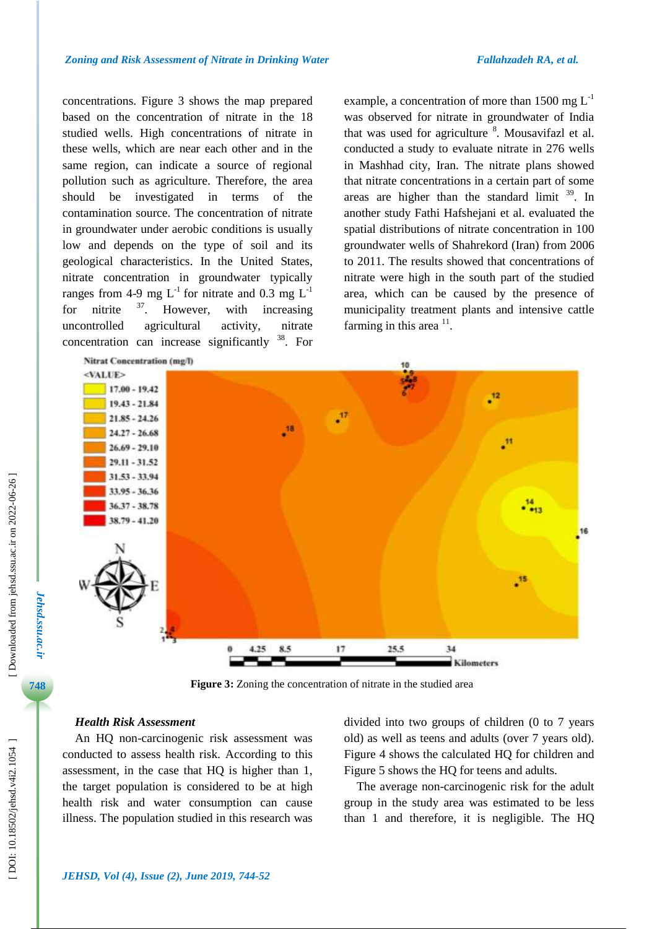concentration s . Figure 3 shows the map prepared based on the concentration of nitrate in the 18 studied wells. High concentrations of nitrate in these wells, which are near each other and in the same region, can indicate a source of regional pollution such as agriculture. Therefore, the area should be investigated in terms of the contamination source. The concentration of nitrate in groundwater under aerobic conditions is usually low and depends on the type of soil and its geological characteristics. In the United States, nitrate concentration in groundwater typically ranges from 4-9 mg  $L^{-1}$  for nitrate and 0.3 mg  $L^{-1}$ for nitrite  $37$ . . However, with increasing uncontrolled agricultural activity, nitrate concentration can increase significantly  $38$ . For

example, a concentration of more than 1500 mg  $L^{-1}$ was observed for nitrate in groundwater of India that was used for agriculture <sup>8</sup>. Mousavifazl et al. conducted a study to evaluate nitrate in 276 wells in Mashhad city, Iran. The nitrate plans showed that nitrate concentrations in a certain part of some areas are higher than the standard limit  $39$ . In another study Fathi Hafshejani et al. evaluated the spatial distributions of nitrate concentration in 100 groundwater wells of Shahrekord (Iran) from <sup>2006</sup> to 2011. The results showed that concentrations of nitrate were high in the south part of the studied area, which can be caused by the presence of municipality treatment plants and intensive cattle farming in this area  $\frac{11}{1}$ .



**Figure 3 :** Zoning the concentration of nitrate in the studied area

#### *Health Risk Assessment*

An HQ non -carcinogenic risk assessment was conducted to assess health risk. According to this assessment, in the case that HQ is higher than 1, the target population is considered to be at high health risk and water consumption can cause illness. The population studied in this research was

divided into two groups of children (0 to 7 years old) as well as teens and adults (over 7 years old). Figure 4 shows the calculated HQ for children and Figure 5 shows the HQ for teens and adults.

The average non -carcinogenic risk for the adult group in the study area was estimated to be less than 1 and therefore, it is negligible. The HQ

*Jehsd.ssu.ac.ir*

**Jehsd.ssu.ac.ir**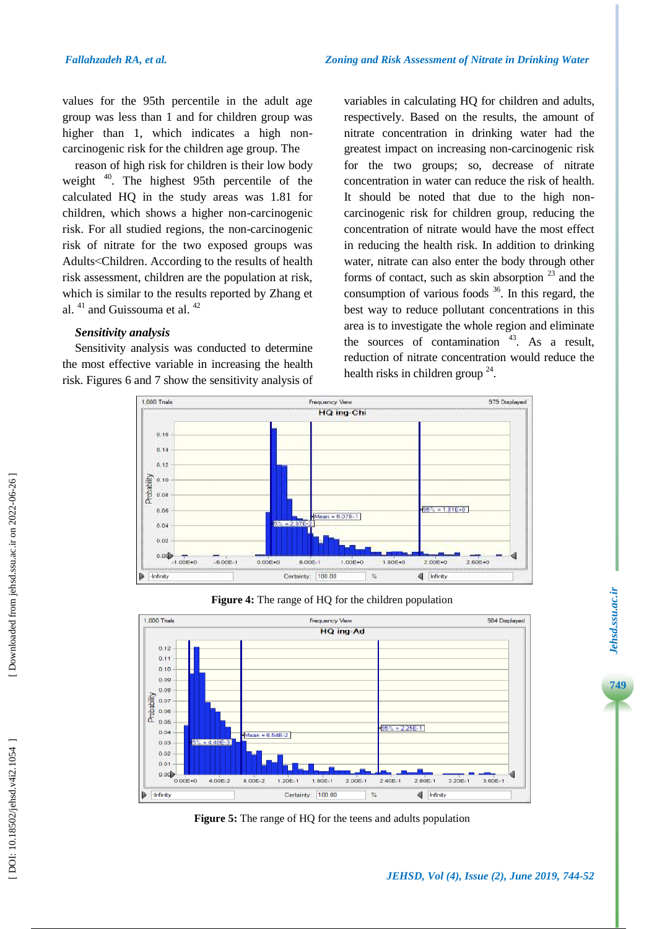values for the 95th percentile in the adult age group was less than 1 and for children group was higher than 1, which indicates a high non carcinogenic risk for the children age group. The

reason of high risk for children is their low body weight <sup>40</sup>. The highest 95th percentile of the calculated HQ in the study areas was 1.81 for children, which shows a higher non -carcinogenic risk. For all studied regions, the non -carcinogenic risk of nitrate for the two exposed groups was Adults >Children. According to the results of health risk assessment, children are the population at risk, which is similar to the results reported by Zhang et al. <sup>41</sup> and Guissouma et al. <sup>42</sup>

#### *Sensitivity analysis*

Sensitivity analysis was conducted to determine the most effective variable in increasing the health risk. Figures 6 and 7 show the sensitivity analysis of variables in calculating HQ for children and adults, respectively. Based on the results, the amount of nitrate concentration in drinking water had the greatest impact on increasing non -carcinogenic risk for the two groups; so, decrease of nitrate concentration in water can reduce the risk of health. It should be noted that due to the high non carcinogenic risk for children group, reducing the concentration of nitrate would have the most effect in reducing the health risk. In addition to drinking water, nitrate can also enter the body through other forms of contact, such as skin absorption  $23$  and the consumption of various foods  $36$ . In this regard, the best way to reduce pollutant concentrations in this area is to investigate the whole region and eliminate the sources of contamination  $43$ . As a result, reduction of nitrate concentration would reduce the health risks in children group<sup>24</sup>.







**Figure 5 :** The range of HQ for the teens and adults population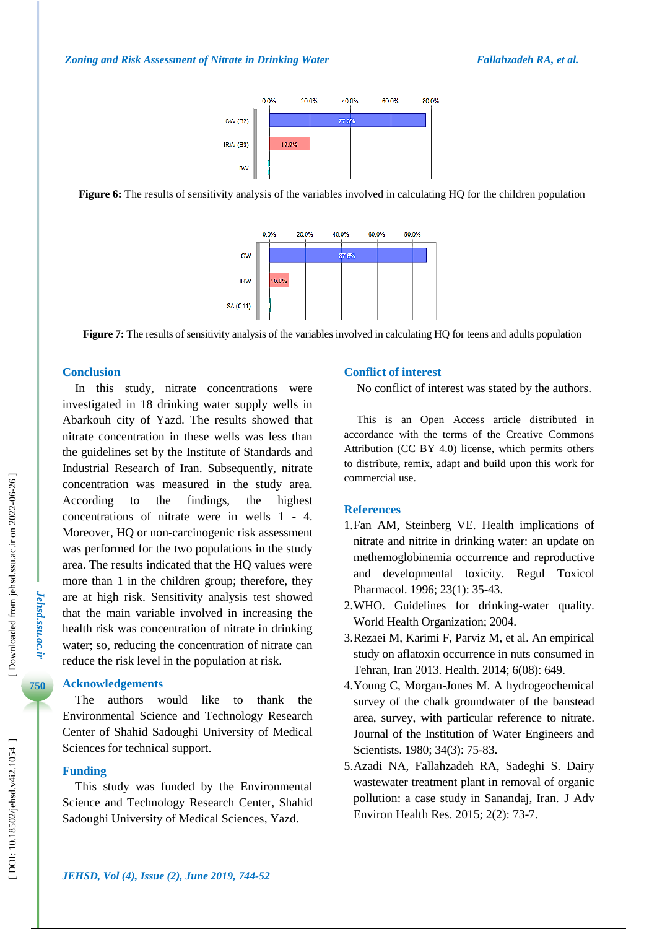

**Figure 6:** The results of sensitivity analysis of the variables involved in calculating HQ for the children population



**Figure 7 :** The results of sensitivity analysis of the variables involved in calculating HQ for teens and adults population

### **Conclusion**

In this study, nitrate concentrations were investigated in 18 drinking water supply wells in Abarkouh city of Yazd. The results showed that nitrate concentration in these wells was less than the guidelines set by the Institute of Standards and Industrial Research of Iran . Subsequently, nitrate concentration was measured in the study area. According to the findings, the highest concentrations of nitrate were in wells 1 - 4. Moreover, HQ or non -carcinogenic risk assessment was performed for the two populations in the study area. The results indicated that the HQ values were more than 1 in the children group; therefore, they are at high risk. Sensitivity analysis test showed that the main variable involved in increasing the health risk was concentration of nitrate in drinking water; so, reducing the concentration of nitrate can reduce the risk level in the population at risk.

#### **Acknowledgements**

The authors would like to thank the Environmental Science and Technology Research Center of Shahid Sadoughi University of Medical Sciences for technical support.

### **Funding**

This study was funded by the Environmental Science and Technology Research Center, Shahid Sadoughi University of Medical Sciences, Yazd.

### **Conflict of interest**

No conflict of interest was stated by the authors.

This is an Open Access article distributed in accordance with the terms of the Creative Commons Attribution (CC BY 4.0) license, which permits others to distribute, remix, adapt and build upon this work for commercial use.

### **References**

- 1.Fan AM, Steinberg VE. Health implications of nitrate and nitrite in drinking water: an update on methemoglobinemia occurrence and reproductive and developmental toxicity. Regul Toxicol Pharmacol. 1996; 23(1): 35 -43.
- 2 .WHO. Guidelines for drinking -water quality . World Health Organization; 2004.
- 3 .Rezaei M, Karimi F, Parviz M, et al. An empirical study on aflatoxin occurrence in nuts consumed in Tehran, Iran 2013. Health. 2014; 6(08): 649.
- 4 .Young C, Morgan -Jones M. A hydrogeochemical survey of the chalk groundwater of the banstead area, survey, with particular reference to nitrate. Journal of the Institution of Water Engineers and Scientists. 1980; 34(3): 75 -83.
- 5 .Azadi NA, Fallahzadeh RA, Sadeghi S. Dairy wastewater treatment plant in removal of organic pollution: a case study in Sanandaj, Iran. J Adv Environ Health Res. 2015; 2(2): 73-7.

DOI: 10.18502/jehsd.v4i2.1054

*Jehsd.ssu.ac.ir*

Jehsd.ssu.ac.ir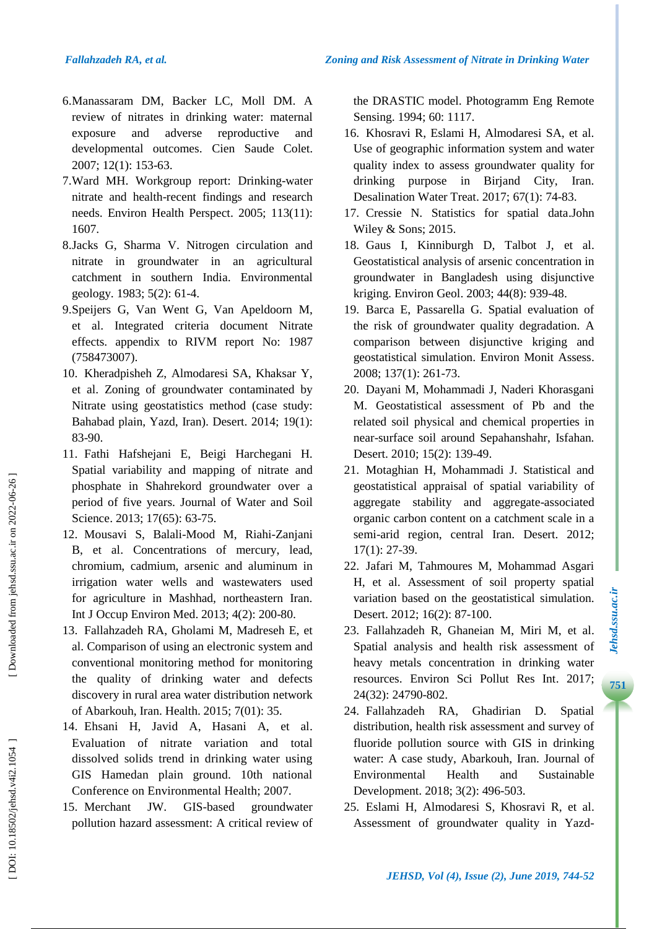- 6 .Manassaram DM, Backer LC, Moll DM. A review of nitrates in drinking water: maternal exposure and adverse reproductive and developmental outcomes. Cien Saude Colet. 2007; 12(1): 153 -63.
- 7 .Ward MH. Workgroup report: Drinking -water nitrate and health -recent findings and research needs. Environ Health Perspect. 2005; 113(11): 1607.
- 8 .Jacks G, Sharma V. Nitrogen circulation and nitrate in groundwater in an agricultural catchment in southern India. Environmental geology. 1983; 5(2): 61 -4.
- 9 .Speijers G, Van Went G, Van Apeldoorn M, et al. Integrated criteria document Nitrate effects. appendix to RIVM report No: 1987 (758473007).
- 10 . Kheradpisheh Z, Almodaresi SA, Khaksar Y, et al. Zoning of groundwater contaminated by Nitrate using geostatistics method (case study: Bahabad plain, Yazd, Iran). Desert. 2014; 19(1): 83 -90.
- 11 . Fathi Hafshejani E, Beigi Harchegani H. Spatial variability and mapping of nitrate and phosphate in Shahrekord groundwater over a period of five years. Journal of Water and Soil Science. 2013; 17(65): 63-75.
- 12 . Mousavi S, Balali -Mood M, Riahi -Zanjani B, et al. Concentrations of mercury, lead, chromium, cadmium, arsenic and aluminum in irrigation water wells and wastewaters used for agriculture in Mashhad, northeastern Iran. Int J Occup Environ Med. 2013; 4(2): 200 -80.
- 13 . Fallahzadeh RA, Gholami M, Madreseh E, et al. Comparison of using an electronic system and conventional monitoring method for monitoring the quality of drinking water and defects discovery in rural area water distribution network of Abarkouh, Iran. Health. 2015; 7(01): 35.
- 14 . Ehsani H, Javid A, Hasani A, et al. Evaluation of nitrate variation and total dissolved solids trend in drinking water using GIS Hamedan plain ground. 10th national Conference on Environmental Health; 2007.
- 15 . Merchant JW. GIS GIS-based groundwater pollution hazard assessment: A critical review of

the DRASTIC model. Photogramm Eng Remote Sensing. 1994; 60: 1117.

- 16 . Khosravi R, Eslami H, Almodaresi SA, et al. Use of geographic information system and water quality index to assess groundwater quality for drinking purpose in Birjand City, Iran. Desalination Water Treat . 2017; 67( 1): 74 -83.
- 17 . Cressie N. Statistics for spatial data .John Wiley & Sons; 2015.
- 18 . Gaus I, Kinniburgh D, Talbot J, et al. Geostatistical analysis of arsenic concentration in groundwater in Bangladesh using disjunctive kriging. Environ Geol. 2003; 44(8): 939 -48.
- 19 . Barca E, Passarella G. Spatial evaluation of the risk of groundwater quality degradation. A comparison between disjunctive kriging and geostatistical simulation. Environ Monit Assess. 2008; 137(1): 261 -73.
- 20 . Dayani M, Mohammadi J, Naderi Khorasgani M. Geostatistical assessment of Pb and the related soil physical and chemical properties in near -surface soil around Sepahanshahr, Isfahan. Desert. 2010; 15(2): 139 -49.
- 21. Motaghian H, Mohammadi J. Statistical and geostatistical appraisal of spatial variability of aggregate stability and aggregate -associated organic carbon content on a catchment scale in a semi -arid region, central Iran. Desert. 2012; 17(1): 27 -39.
- 22 . Jafari M, Tahmoures M, Mohammad Asgari H, et al. Assessment of soil property spatial variation based on the geostatistical simulation. Desert. 2012; 16(2): 87 -100.
- 23 . Fallahzadeh R, Ghaneian M, Miri M, et al. Spatial analysis and health risk assessment of heavy metals concentration in drinking water resources. Environ Sci Pollut Res Int. 2017 ; 24(32): 24790 -802.

**7***Jehsd.ssu.ac.ir*

Jehsd.ssu.ac.ir

- 24 . Fallahzadeh RA, Ghadirian D. Spatial distribution, health risk assessment and survey of fluoride pollution source with GIS in drinking water: A case study, Abarkouh, Iran. Journal of Environmental Health and Sustainable Development . 2018; 3(2): 496 -503.
- 25 . Eslami H, Almodaresi S, Khosravi R, et al. Assessment of groundwater quality in Yazd -